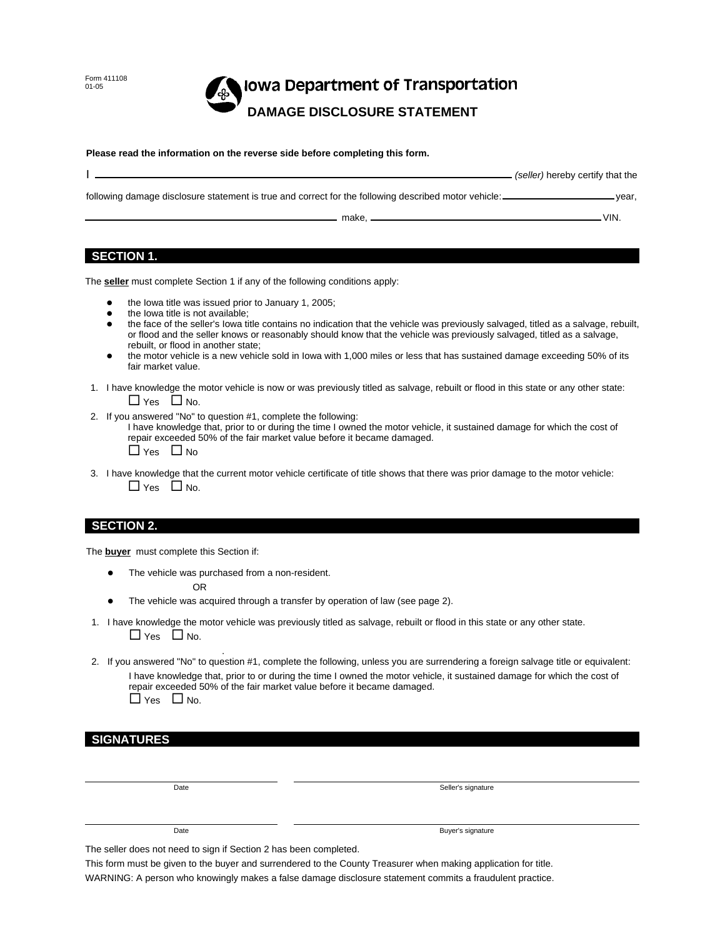Form 411108 01-05

# **Iowa Department of Transportation DAMAGE DISCLOSURE STATEMENT**

#### **Please read the information on the reverse side before completing this form.**

|                                                                                                      | (seller) hereby certify that the |
|------------------------------------------------------------------------------------------------------|----------------------------------|
| following damage disclosure statement is true and correct for the following described motor vehicle: | vear.                            |
| make.                                                                                                | VIN.                             |

### **SECTION 1.**

The **seller** must complete Section 1 if any of the following conditions apply:

- the Iowa title was issued prior to January 1, 2005;
- the Iowa title is not available;
- the face of the seller's Iowa title contains no indication that the vehicle was previously salvaged, titled as a salvage, rebuilt, or flood and the seller knows or reasonably should know that the vehicle was previously salvaged, titled as a salvage, rebuilt, or flood in another state;
- the motor vehicle is a new vehicle sold in Iowa with 1,000 miles or less that has sustained damage exceeding 50% of its fair market value.
- 1. I have knowledge the motor vehicle is now or was previously titled as salvage, rebuilt or flood in this state or any other state:  $\Box$  Yes  $\Box$  No.
- 2. If you answered "No" to question #1, complete the following:

I have knowledge that, prior to or during the time I owned the motor vehicle, it sustained damage for which the cost of repair exceeded 50% of the fair market value before it became damaged.  $\Box$  Yes  $\Box$  No

 3. I have knowledge that the current motor vehicle certificate of title shows that there was prior damage to the motor vehicle:  $\Box$  Yes  $\Box$  No.

#### **SECTION 2.**

The **buyer** must complete this Section if:

 The vehicle was purchased from a non-resident. OR

.

- The vehicle was acquired through a transfer by operation of law (see page 2).
- 1. I have knowledge the motor vehicle was previously titled as salvage, rebuilt or flood in this state or any other state.  $\Box$  Yes  $\Box$  No.
- 2. If you answered "No" to question #1, complete the following, unless you are surrendering a foreign salvage title or equivalent: I have knowledge that, prior to or during the time I owned the motor vehicle, it sustained damage for which the cost of repair exceeded 50% of the fair market value before it became damaged.  $\Box$  Yes  $\Box$  No.

#### **SIGNATURES**

Date

Seller's signature

#### Date

Buyer's signature

The seller does not need to sign if Section 2 has been completed.

This form must be given to the buyer and surrendered to the County Treasurer when making application for title. WARNING: A person who knowingly makes a false damage disclosure statement commits a fraudulent practice.